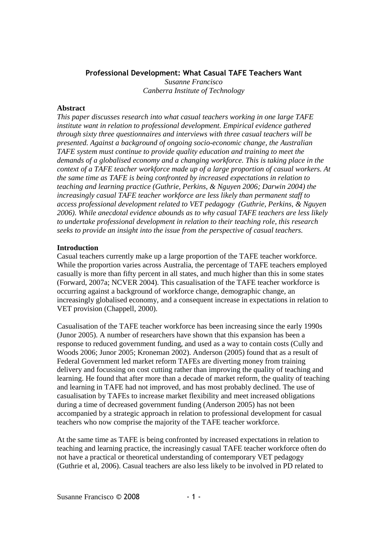# Professional Development: What Casual TAFE Teachers Want

*Susanne Francisco Canberra Institute of Technology* 

## **Abstract**

*This paper discusses research into what casual teachers working in one large TAFE institute want in relation to professional development. Empirical evidence gathered through sixty three questionnaires and interviews with three casual teachers will be presented. Against a background of ongoing socio-economic change, the Australian TAFE system must continue to provide quality education and training to meet the demands of a globalised economy and a changing workforce. This is taking place in the context of a TAFE teacher workforce made up of a large proportion of casual workers. At the same time as TAFE is being confronted by increased expectations in relation to teaching and learning practice (Guthrie, Perkins, & Nguyen 2006; Darwin 2004) the increasingly casual TAFE teacher workforce are less likely than permanent staff to access professional development related to VET pedagogy (Guthrie, Perkins, & Nguyen 2006). While anecdotal evidence abounds as to why casual TAFE teachers are less likely to undertake professional development in relation to their teaching role, this research seeks to provide an insight into the issue from the perspective of casual teachers.* 

## **Introduction**

Casual teachers currently make up a large proportion of the TAFE teacher workforce. While the proportion varies across Australia, the percentage of TAFE teachers employed casually is more than fifty percent in all states, and much higher than this in some states (Forward, 2007a; NCVER 2004). This casualisation of the TAFE teacher workforce is occurring against a background of workforce change, demographic change, an increasingly globalised economy, and a consequent increase in expectations in relation to VET provision (Chappell, 2000).

Casualisation of the TAFE teacher workforce has been increasing since the early 1990s (Junor 2005). A number of researchers have shown that this expansion has been a response to reduced government funding, and used as a way to contain costs (Cully and Woods 2006; Junor 2005; Kroneman 2002). Anderson (2005) found that as a result of Federal Government led market reform TAFEs are diverting money from training delivery and focussing on cost cutting rather than improving the quality of teaching and learning. He found that after more than a decade of market reform, the quality of teaching and learning in TAFE had not improved, and has most probably declined. The use of casualisation by TAFEs to increase market flexibility and meet increased obligations during a time of decreased government funding (Anderson 2005) has not been accompanied by a strategic approach in relation to professional development for casual teachers who now comprise the majority of the TAFE teacher workforce.

At the same time as TAFE is being confronted by increased expectations in relation to teaching and learning practice, the increasingly casual TAFE teacher workforce often do not have a practical or theoretical understanding of contemporary VET pedagogy (Guthrie et al, 2006). Casual teachers are also less likely to be involved in PD related to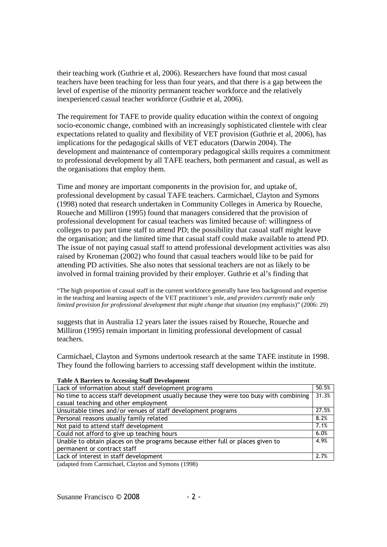their teaching work (Guthrie et al, 2006). Researchers have found that most casual teachers have been teaching for less than four years, and that there is a gap between the level of expertise of the minority permanent teacher workforce and the relatively inexperienced casual teacher workforce (Guthrie et al, 2006).

The requirement for TAFE to provide quality education within the context of ongoing socio-economic change, combined with an increasingly sophisticated clientele with clear expectations related to quality and flexibility of VET provision (Guthrie et al, 2006), has implications for the pedagogical skills of VET educators (Darwin 2004). The development and maintenance of contemporary pedagogical skills requires a commitment to professional development by all TAFE teachers, both permanent and casual, as well as the organisations that employ them.

Time and money are important components in the provision for, and uptake of, professional development by casual TAFE teachers. Carmichael, Clayton and Symons (1998) noted that research undertaken in Community Colleges in America by Roueche, Roueche and Milliron (1995) found that managers considered that the provision of professional development for casual teachers was limited because of: willingness of colleges to pay part time staff to attend PD; the possibility that casual staff might leave the organisation; and the limited time that casual staff could make available to attend PD. The issue of not paying casual staff to attend professional development activities was also raised by Kroneman (2002) who found that casual teachers would like to be paid for attending PD activities. She also notes that sessional teachers are not as likely to be involved in formal training provided by their employer. Guthrie et al's finding that

"The high proportion of casual staff in the current workforce generally have less background and expertise in the teaching and learning aspects of the VET practitioner's role, *and providers currently make only limited provision for professional development that might change that situation* (my emphasis)" (2006: 29)

suggests that in Australia 12 years later the issues raised by Roueche, Roueche and Milliron (1995) remain important in limiting professional development of casual teachers.

Carmichael, Clayton and Symons undertook research at the same TAFE institute in 1998. They found the following barriers to accessing staff development within the institute.

| Table A Darriers to Accessing Staff Development                                       |       |
|---------------------------------------------------------------------------------------|-------|
| Lack of information about staff development programs                                  | 50.5% |
| No time to access staff development usually because they were too busy with combining | 31.3% |
| casual teaching and other employment                                                  |       |
| Unsuitable times and/or venues of staff development programs                          | 27.5% |
| Personal reasons usually family related                                               | 8.2%  |
| Not paid to attend staff development                                                  | 7.1%  |
| Could not afford to give up teaching hours                                            | 6.0%  |
| Unable to obtain places on the programs because either full or places given to        | 4.9%  |
| permanent or contract staff                                                           |       |
| Lack of interest in staff development                                                 | 2.7%  |

# **Table A Barriers to Accessing Staff Development**

(adapted from Carmichael, Clayton and Symons (1998)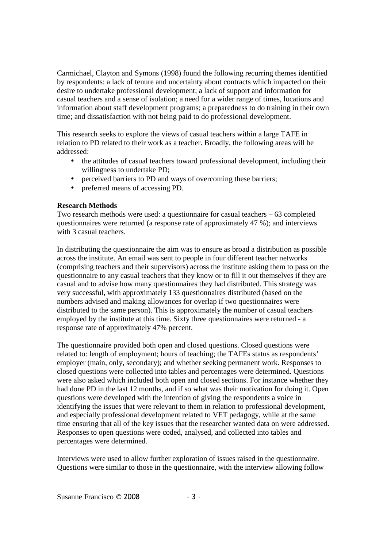Carmichael, Clayton and Symons (1998) found the following recurring themes identified by respondents: a lack of tenure and uncertainty about contracts which impacted on their desire to undertake professional development; a lack of support and information for casual teachers and a sense of isolation; a need for a wider range of times, locations and information about staff development programs; a preparedness to do training in their own time; and dissatisfaction with not being paid to do professional development.

This research seeks to explore the views of casual teachers within a large TAFE in relation to PD related to their work as a teacher. Broadly, the following areas will be addressed:

- the attitudes of casual teachers toward professional development, including their willingness to undertake PD;
- perceived barriers to PD and ways of overcoming these barriers;
- preferred means of accessing PD.

# **Research Methods**

Two research methods were used: a questionnaire for casual teachers – 63 completed questionnaires were returned (a response rate of approximately 47 %); and interviews with 3 casual teachers.

In distributing the questionnaire the aim was to ensure as broad a distribution as possible across the institute. An email was sent to people in four different teacher networks (comprising teachers and their supervisors) across the institute asking them to pass on the questionnaire to any casual teachers that they know or to fill it out themselves if they are casual and to advise how many questionnaires they had distributed. This strategy was very successful, with approximately 133 questionnaires distributed (based on the numbers advised and making allowances for overlap if two questionnaires were distributed to the same person). This is approximately the number of casual teachers employed by the institute at this time. Sixty three questionnaires were returned - a response rate of approximately 47% percent.

The questionnaire provided both open and closed questions. Closed questions were related to: length of employment; hours of teaching; the TAFEs status as respondents' employer (main, only, secondary); and whether seeking permanent work. Responses to closed questions were collected into tables and percentages were determined. Questions were also asked which included both open and closed sections. For instance whether they had done PD in the last 12 months, and if so what was their motivation for doing it. Open questions were developed with the intention of giving the respondents a voice in identifying the issues that were relevant to them in relation to professional development, and especially professional development related to VET pedagogy, while at the same time ensuring that all of the key issues that the researcher wanted data on were addressed. Responses to open questions were coded, analysed, and collected into tables and percentages were determined.

Interviews were used to allow further exploration of issues raised in the questionnaire. Questions were similar to those in the questionnaire, with the interview allowing follow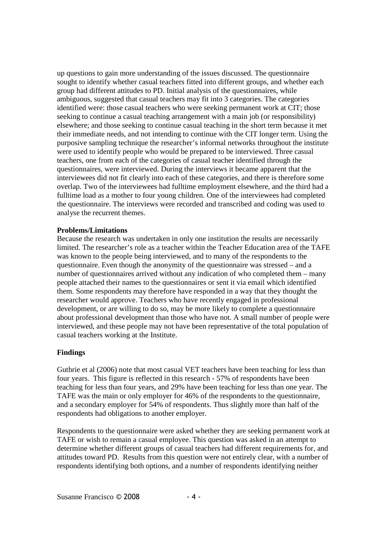up questions to gain more understanding of the issues discussed. The questionnaire sought to identify whether casual teachers fitted into different groups, and whether each group had different attitudes to PD. Initial analysis of the questionnaires, while ambiguous, suggested that casual teachers may fit into 3 categories. The categories identified were: those casual teachers who were seeking permanent work at CIT; those seeking to continue a casual teaching arrangement with a main job (or responsibility) elsewhere; and those seeking to continue casual teaching in the short term because it met their immediate needs, and not intending to continue with the CIT longer term. Using the purposive sampling technique the researcher's informal networks throughout the institute were used to identify people who would be prepared to be interviewed. Three casual teachers, one from each of the categories of casual teacher identified through the questionnaires, were interviewed. During the interviews it became apparent that the interviewees did not fit clearly into each of these categories, and there is therefore some overlap. Two of the interviewees had fulltime employment elsewhere, and the third had a fulltime load as a mother to four young children. One of the interviewees had completed the questionnaire. The interviews were recorded and transcribed and coding was used to analyse the recurrent themes.

### **Problems/Limitations**

Because the research was undertaken in only one institution the results are necessarily limited. The researcher's role as a teacher within the Teacher Education area of the TAFE was known to the people being interviewed, and to many of the respondents to the questionnaire. Even though the anonymity of the questionnaire was stressed – and a number of questionnaires arrived without any indication of who completed them – many people attached their names to the questionnaires or sent it via email which identified them. Some respondents may therefore have responded in a way that they thought the researcher would approve. Teachers who have recently engaged in professional development, or are willing to do so, may be more likely to complete a questionnaire about professional development than those who have not. A small number of people were interviewed, and these people may not have been representative of the total population of casual teachers working at the Institute.

## **Findings**

Guthrie et al (2006) note that most casual VET teachers have been teaching for less than four years. This figure is reflected in this research - 57% of respondents have been teaching for less than four years, and 29% have been teaching for less than one year. The TAFE was the main or only employer for 46% of the respondents to the questionnaire, and a secondary employer for 54% of respondents. Thus slightly more than half of the respondents had obligations to another employer.

Respondents to the questionnaire were asked whether they are seeking permanent work at TAFE or wish to remain a casual employee. This question was asked in an attempt to determine whether different groups of casual teachers had different requirements for, and attitudes toward PD. Results from this question were not entirely clear, with a number of respondents identifying both options, and a number of respondents identifying neither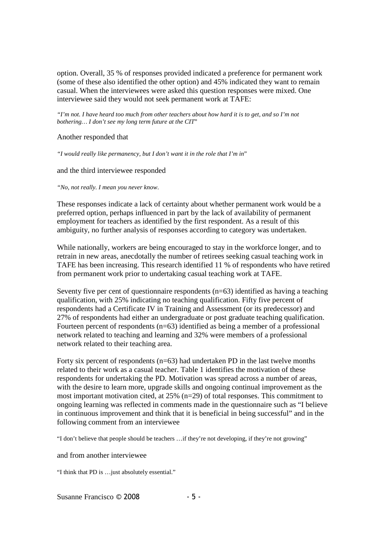option. Overall, 35 % of responses provided indicated a preference for permanent work (some of these also identified the other option) and 45% indicated they want to remain casual. When the interviewees were asked this question responses were mixed. One interviewee said they would not seek permanent work at TAFE:

*"I'm not. I have heard too much from other teachers about how hard it is to get, and so I'm not bothering… I don't see my long term future at the CIT*"

Another responded that

*"I would really like permanency, but I don't want it in the role that I'm in*"

and the third interviewee responded

*"No, not really. I mean you never know*.

These responses indicate a lack of certainty about whether permanent work would be a preferred option, perhaps influenced in part by the lack of availability of permanent employment for teachers as identified by the first respondent. As a result of this ambiguity, no further analysis of responses according to category was undertaken.

While nationally, workers are being encouraged to stay in the workforce longer, and to retrain in new areas, anecdotally the number of retirees seeking casual teaching work in TAFE has been increasing. This research identified 11 % of respondents who have retired from permanent work prior to undertaking casual teaching work at TAFE.

Seventy five per cent of questionnaire respondents  $(n=63)$  identified as having a teaching qualification, with 25% indicating no teaching qualification. Fifty five percent of respondents had a Certificate IV in Training and Assessment (or its predecessor) and 27% of respondents had either an undergraduate or post graduate teaching qualification. Fourteen percent of respondents  $(n=63)$  identified as being a member of a professional network related to teaching and learning and 32% were members of a professional network related to their teaching area.

Forty six percent of respondents  $(n=63)$  had undertaken PD in the last twelve months related to their work as a casual teacher. Table 1 identifies the motivation of these respondents for undertaking the PD. Motivation was spread across a number of areas, with the desire to learn more, upgrade skills and ongoing continual improvement as the most important motivation cited, at 25% (n=29) of total responses. This commitment to ongoing learning was reflected in comments made in the questionnaire such as "I believe in continuous improvement and think that it is beneficial in being successful" and in the following comment from an interviewee

"I don't believe that people should be teachers …if they're not developing, if they're not growing"

and from another interviewee

"I think that PD is …just absolutely essential."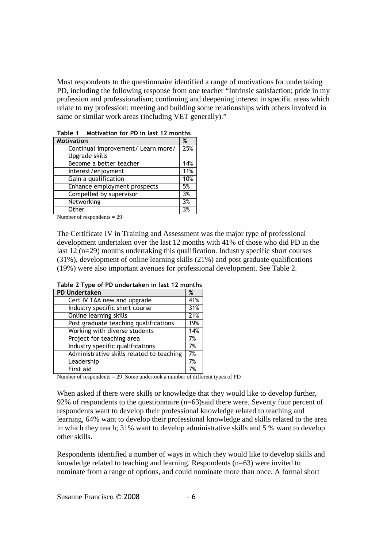Most respondents to the questionnaire identified a range of motivations for undertaking PD, including the following response from one teacher "Intrinsic satisfaction; pride in my profession and professionalism; continuing and deepening interest in specific areas which relate to my profession; meeting and building some relationships with others involved in same or similar work areas (including VET generally)."

| таріе т<br>MOLIVALION TOP PD IN 18ST TZ MONTHS |     |  |
|------------------------------------------------|-----|--|
| <b>Motivation</b>                              |     |  |
| Continual improvement/ Learn more/             |     |  |
| Upgrade skills                                 |     |  |
| Become a better teacher                        | 14% |  |
| Interest/enjoyment                             | 11% |  |
| Gain a qualification                           | 10% |  |
| Enhance employment prospects                   | 5%  |  |
| Compelled by supervisor                        | 3%  |  |
| Networking                                     | 3%  |  |
| Other                                          | 3%  |  |

Table 1 Motivation for PD in last 12 months

Number of respondents = 29.

The Certificate IV in Training and Assessment was the major type of professional development undertaken over the last 12 months with 41% of those who did PD in the last 12 (n=29) months undertaking this qualification. Industry specific short courses (31%), development of online learning skills (21%) and post graduate qualifications (19%) were also important avenues for professional development. See Table 2.

| <b>PD</b> Undertaken                      | %   |
|-------------------------------------------|-----|
|                                           |     |
| Cert IV TAA new and upgrade               | 41% |
| Industry specific short course            | 31% |
| Online learning skills                    | 21% |
| Post graduate teaching qualifications     | 19% |
| Working with diverse students             | 14% |
| Project for teaching area                 | 7%  |
| Industry specific qualifications          | 7%  |
| Administrative skills related to teaching | 7%  |
| Leadership                                | 7%  |
| First aid                                 | 7%  |

Table 2 Type of PD undertaken in last 12 months

Number of respondents = 29. Some undertook a number of different types of PD

When asked if there were skills or knowledge that they would like to develop further, 92% of respondents to the questionnaire (n=63)said there were. Seventy four percent of respondents want to develop their professional knowledge related to teaching and learning, 64% want to develop their professional knowledge and skills related to the area in which they teach; 31% want to develop administrative skills and 5 % want to develop other skills.

Respondents identified a number of ways in which they would like to develop skills and knowledge related to teaching and learning. Respondents (n=63) were invited to nominate from a range of options, and could nominate more than once. A formal short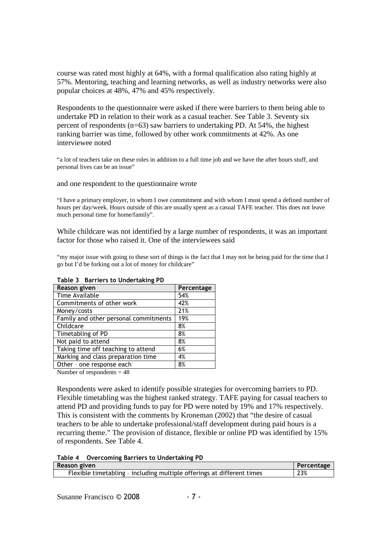course was rated most highly at 64%, with a formal qualification also rating highly at 57%. Mentoring, teaching and learning networks, as well as industry networks were also popular choices at 48%, 47% and 45% respectively.

Respondents to the questionnaire were asked if there were barriers to them being able to undertake PD in relation to their work as a casual teacher. See Table 3. Seventy six percent of respondents (n=63) saw barriers to undertaking PD. At 54%, the highest ranking barrier was time, followed by other work commitments at 42%. As one interviewee noted

"a lot of teachers take on these roles in addition to a full time job and we have the after hours stuff, and personal lives can be an issue"

and one respondent to the questionnaire wrote

"I have a primary employer, to whom I owe commitment and with whom I must spend a defined number of hours per day/week. Hours outside of this are usually spent as a casual TAFE teacher. This does not leave much personal time for home/family".

While childcare was not identified by a large number of respondents, it was an important factor for those who raised it. One of the interviewees said

"my major issue with going to these sort of things is the fact that I may not be being paid for the time that I go but I'd be forking out a lot of money for childcare"

| Percentage |
|------------|
| 54%        |
| 42%        |
| 21%        |
| 19%        |
| 8%         |
| 8%         |
| 8%         |
| 6%         |
| 4%         |
| 8%         |
|            |

#### Table 3 Barriers to Undertaking PD

Number of respondents  $= 48$ 

Respondents were asked to identify possible strategies for overcoming barriers to PD. Flexible timetabling was the highest ranked strategy. TAFE paying for casual teachers to attend PD and providing funds to pay for PD were noted by 19% and 17% respectively. This is consistent with the comments by Kroneman (2002) that "the desire of casual teachers to be able to undertake professional/staff development during paid hours is a recurring theme." The provision of distance, flexible or online PD was identified by 15% of respondents. See Table 4.

|  |  |  | Table 4 Overcoming Barriers to Undertaking PD |
|--|--|--|-----------------------------------------------|
|--|--|--|-----------------------------------------------|

| Reason given                                                           | Percentage |
|------------------------------------------------------------------------|------------|
| Flexible timetabling - including multiple offerings at different times | 23%        |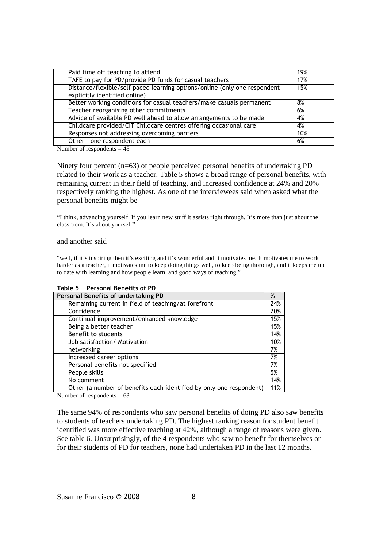| Paid time off teaching to attend                                                                           | 19% |
|------------------------------------------------------------------------------------------------------------|-----|
| TAFE to pay for PD/provide PD funds for casual teachers                                                    | 17% |
| Distance/flexible/self paced learning options/online (only one respondent<br>explicitly identified online) | 15% |
| Better working conditions for casual teachers/make casuals permanent                                       | 8%  |
| Teacher reorganising other commitments                                                                     | 6%  |
| Advice of available PD well ahead to allow arrangements to be made                                         | 4%  |
| Childcare provided/CIT Childcare centres offering occasional care                                          | 4%  |
| Responses not addressing overcoming barriers                                                               | 10% |
| Other - one respondent each                                                                                | 6%  |

Number of respondents = 48

Ninety four percent (n=63) of people perceived personal benefits of undertaking PD related to their work as a teacher. Table 5 shows a broad range of personal benefits, with remaining current in their field of teaching, and increased confidence at 24% and 20% respectively ranking the highest. As one of the interviewees said when asked what the personal benefits might be

"I think, advancing yourself. If you learn new stuff it assists right through. It's more than just about the classroom. It's about yourself"

#### and another said

"well, if it's inspiring then it's exciting and it's wonderful and it motivates me. It motivates me to work harder as a teacher, it motivates me to keep doing things well, to keep being thorough, and it keeps me up to date with learning and how people learn, and good ways of teaching."

| Personal Benefits of undertaking PD                                 | %   |
|---------------------------------------------------------------------|-----|
|                                                                     |     |
| Remaining current in field of teaching/at forefront                 | 24% |
| Confidence                                                          | 20% |
| Continual improvement/enhanced knowledge                            | 15% |
| Being a better teacher                                              | 15% |
| Benefit to students                                                 | 14% |
| Job satisfaction/ Motivation                                        | 10% |
| networking                                                          | 7%  |
| Increased career options                                            | 7%  |
| Personal benefits not specified                                     | 7%  |
| People skills                                                       | 5%  |
| No comment                                                          | 14% |
| Other (a number of benefits each identified by only one respondent) | 11% |

Table 5 Personal Benefits of PD

Number of respondents  $= 63$ 

The same 94% of respondents who saw personal benefits of doing PD also saw benefits to students of teachers undertaking PD. The highest ranking reason for student benefit identified was more effective teaching at 42%, although a range of reasons were given. See table 6. Unsurprisingly, of the 4 respondents who saw no benefit for themselves or for their students of PD for teachers, none had undertaken PD in the last 12 months.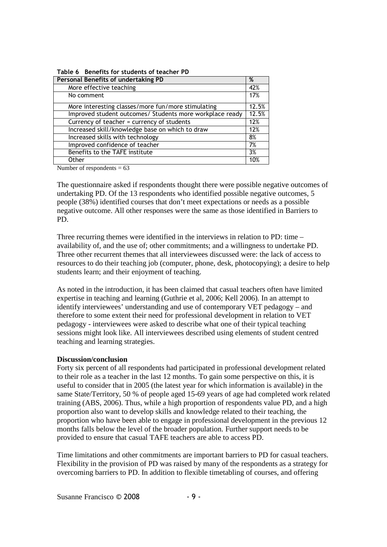| Personal Benefits of undertaking PD                      | %     |
|----------------------------------------------------------|-------|
| More effective teaching                                  | 42%   |
| No comment                                               | 17%   |
| More interesting classes/more fun/more stimulating       | 12.5% |
| Improved student outcomes/ Students more workplace ready | 12.5% |
| Currency of teacher = currency of students               | 12%   |
| Increased skill/knowledge base on which to draw          | 12%   |
| Increased skills with technology                         | 8%    |
| Improved confidence of teacher                           | 7%    |
| Benefits to the TAFE institute                           | 3%    |
| Other                                                    | 10%   |

Table 6 Benefits for students of teacher PD

Number of respondents  $= 63$ 

The questionnaire asked if respondents thought there were possible negative outcomes of undertaking PD. Of the 13 respondents who identified possible negative outcomes, 5 people (38%) identified courses that don't meet expectations or needs as a possible negative outcome. All other responses were the same as those identified in Barriers to PD.

Three recurring themes were identified in the interviews in relation to PD: time – availability of, and the use of; other commitments; and a willingness to undertake PD. Three other recurrent themes that all interviewees discussed were: the lack of access to resources to do their teaching job (computer, phone, desk, photocopying); a desire to help students learn; and their enjoyment of teaching.

As noted in the introduction, it has been claimed that casual teachers often have limited expertise in teaching and learning (Guthrie et al, 2006; Kell 2006). In an attempt to identify interviewees' understanding and use of contemporary VET pedagogy – and therefore to some extent their need for professional development in relation to VET pedagogy - interviewees were asked to describe what one of their typical teaching sessions might look like. All interviewees described using elements of student centred teaching and learning strategies.

### **Discussion/conclusion**

Forty six percent of all respondents had participated in professional development related to their role as a teacher in the last 12 months. To gain some perspective on this, it is useful to consider that in 2005 (the latest year for which information is available) in the same State/Territory, 50 % of people aged 15-69 years of age had completed work related training (ABS, 2006). Thus, while a high proportion of respondents value PD, and a high proportion also want to develop skills and knowledge related to their teaching, the proportion who have been able to engage in professional development in the previous 12 months falls below the level of the broader population. Further support needs to be provided to ensure that casual TAFE teachers are able to access PD.

Time limitations and other commitments are important barriers to PD for casual teachers. Flexibility in the provision of PD was raised by many of the respondents as a strategy for overcoming barriers to PD. In addition to flexible timetabling of courses, and offering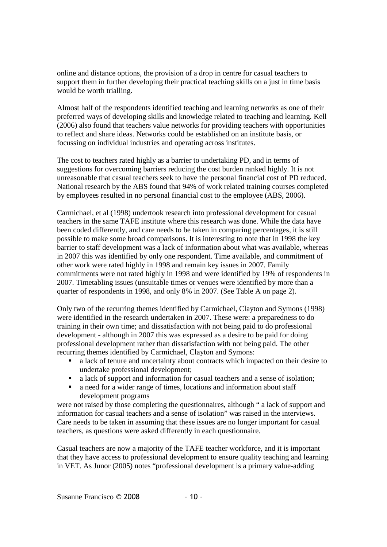online and distance options, the provision of a drop in centre for casual teachers to support them in further developing their practical teaching skills on a just in time basis would be worth trialling.

Almost half of the respondents identified teaching and learning networks as one of their preferred ways of developing skills and knowledge related to teaching and learning. Kell (2006) also found that teachers value networks for providing teachers with opportunities to reflect and share ideas. Networks could be established on an institute basis, or focussing on individual industries and operating across institutes.

The cost to teachers rated highly as a barrier to undertaking PD, and in terms of suggestions for overcoming barriers reducing the cost burden ranked highly. It is not unreasonable that casual teachers seek to have the personal financial cost of PD reduced. National research by the ABS found that 94% of work related training courses completed by employees resulted in no personal financial cost to the employee (ABS, 2006).

Carmichael, et al (1998) undertook research into professional development for casual teachers in the same TAFE institute where this research was done. While the data have been coded differently, and care needs to be taken in comparing percentages, it is still possible to make some broad comparisons. It is interesting to note that in 1998 the key barrier to staff development was a lack of information about what was available, whereas in 2007 this was identified by only one respondent. Time available, and commitment of other work were rated highly in 1998 and remain key issues in 2007. Family commitments were not rated highly in 1998 and were identified by 19% of respondents in 2007. Timetabling issues (unsuitable times or venues were identified by more than a quarter of respondents in 1998, and only 8% in 2007. (See Table A on page 2).

Only two of the recurring themes identified by Carmichael, Clayton and Symons (1998) were identified in the research undertaken in 2007. These were: a preparedness to do training in their own time; and dissatisfaction with not being paid to do professional development - although in 2007 this was expressed as a desire to be paid for doing professional development rather than dissatisfaction with not being paid. The other recurring themes identified by Carmichael, Clayton and Symons:

- a lack of tenure and uncertainty about contracts which impacted on their desire to undertake professional development;
- a lack of support and information for casual teachers and a sense of isolation;
- a need for a wider range of times, locations and information about staff development programs

were not raised by those completing the questionnaires, although " a lack of support and information for casual teachers and a sense of isolation" was raised in the interviews. Care needs to be taken in assuming that these issues are no longer important for casual teachers, as questions were asked differently in each questionnaire.

Casual teachers are now a majority of the TAFE teacher workforce, and it is important that they have access to professional development to ensure quality teaching and learning in VET. As Junor (2005) notes "professional development is a primary value-adding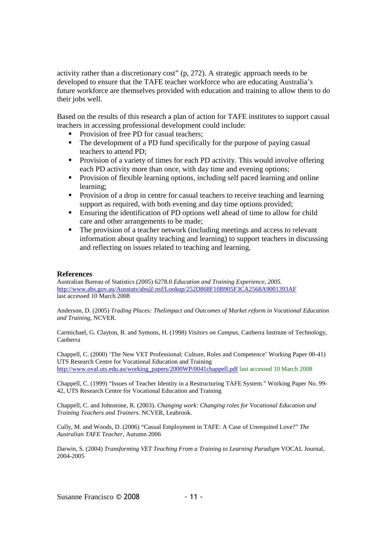activity rather than a discretionary cost" (p, 272). A strategic approach needs to be developed to ensure that the TAFE teacher workforce who are educating Australia's future workforce are themselves provided with education and training to allow them to do their jobs well.

Based on the results of this research a plan of action for TAFE institutes to support casual teachers in accessing professional development could include:

- Provision of free PD for casual teachers:
- The development of a PD fund specifically for the purpose of paying casual teachers to attend PD;
- **Provision of a variety of times for each PD activity. This would involve offering** each PD activity more than once, with day time and evening options;
- **Provision of flexible learning options, including self paced learning and online** learning;
- **Provision of a drop in centre for casual teachers to receive teaching and learning** support as required, with both evening and day time options provided;
- Ensuring the identification of PD options well ahead of time to allow for child care and other arrangements to be made;
- The provision of a teacher network (including meetings and access to relevant information about quality teaching and learning) to support teachers in discussing and reflecting on issues related to teaching and learning.

### **References**

Australian Bureau of Statistics (2005) 6278.0 *Education and Training Experience, 2005*. http://www.abs.gov.au/Ausstats/abs@.nsf/Lookup/252D868F10B905F3CA2568A9001393AF last accessed 10 March 2008

Anderson, D. (2005) *Trading Places: TheIimpact and Outcomes of Market reform in Vocational Education and Training*, NCVER.

Carmichael, G. Clayton, B. and Symons, H. (1998) *Visitors on Campus*, Canberra Institute of Technology, Canberra

Chappell, C. (2000) 'The New VET Professional: Culture, Roles and Competence' Working Paper 00-41) UTS Research Centre for Vocational Education and Training http://www.oval.uts.edu.au/working\_papers/2000WP/0041chappell.pdf last accessed 10 March 2008

Chappell, C. (1999) "Issues of Teacher Identity in a Restructuring TAFE System." Working Paper No. 99- 42, UTS Research Centre for Vocational Education and Training

Chappell, C. and Johnstone, R. (2003). *Changing work: Changing roles for Vocational Education and Training Teachers and Trainers*. NCVER, Leabrook.

Cully, M. and Woods, D. (2006) "Casual Employment in TAFE: A Case of Unrequited Love?" *The Australian TAFE Teacher*, Autumn 2006

Darwin, S. (2004) *Transforming VET Teaching From a Training to Learning Paradigm* VOCAL Journal, 2004-2005